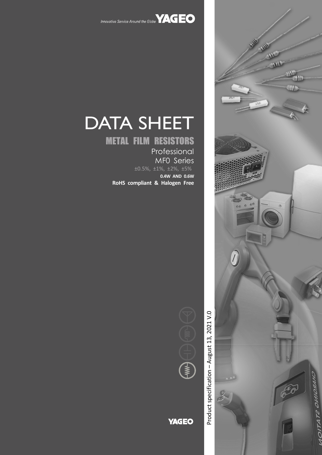

# DATA SHEET

## METAL FILM RESISTORS

Professional MF0 Series

±0.5%, ±1%, ±2%, ±5%

**0.4W AND 0.6W RoHS compliant & Halogen Free**



**YAGEO** 

Product specification - August 13, 2021 V.0 – August 13, 2021 V.0 Product specification

 $\sigma$ 



 $\mathbf{u}$ 

m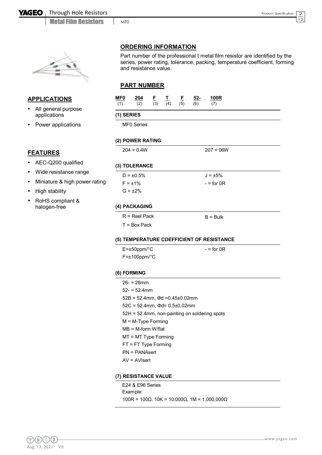

#### **APPLICATIONS**

- All general purpose applications
- Power applications

#### **ORDERING INFORMATION**

Part number of the professional t metal film resistor are identified by the series, power rating, tolerance, packing, temperature coefficient, forming and resistance value.

#### **PART NUMBER**

MF0

| (1)        | (2)                                         | $\frac{F}{(3)}$ | $\frac{1}{(4)}$ | $\frac{F}{(5)}$ | (6) | (7)                                           |
|------------|---------------------------------------------|-----------------|-----------------|-----------------|-----|-----------------------------------------------|
| (1) SERIES |                                             |                 |                 |                 |     |                                               |
|            | MF0 Series                                  |                 |                 |                 |     |                                               |
|            | (2) POWER RATING                            |                 |                 |                 |     |                                               |
|            | $204 = 0.4W$                                |                 |                 |                 |     | $207 = 06W$                                   |
|            | (3) TOLERANCE                               |                 |                 |                 |     |                                               |
|            | $D = \pm 0.5\%$                             |                 |                 |                 |     | $J = \pm 5\%$                                 |
|            | $F = \pm 1\%$                               |                 |                 |                 |     | $-$ = for 0R                                  |
|            | $G = \pm 2\%$                               |                 |                 |                 |     |                                               |
|            | (4) PACKAGING                               |                 |                 |                 |     |                                               |
|            | $R =$ Reel Pack                             |                 |                 |                 |     | $B = Bulk$                                    |
|            | $T = Box$ Pack                              |                 |                 |                 |     |                                               |
|            |                                             |                 |                 |                 |     | (5) TEMPERATURE COEFFICIENT OF RESISTANCE     |
|            | $E = \pm 50$ ppm/°C                         |                 |                 |                 |     | $-$ = for 0R                                  |
|            | $F = \pm 100$ ppm/°C                        |                 |                 |                 |     |                                               |
|            | (6) FORMING                                 |                 |                 |                 |     |                                               |
|            | $26 - 26$ mm                                |                 |                 |                 |     |                                               |
|            | $52 - 52.4$ mm                              |                 |                 |                 |     |                                               |
|            | $52B = 52.4mm$ , $\Phi d = 0.45 \pm 0.02mm$ |                 |                 |                 |     |                                               |
|            | $52C = 52.4$ mm, $\Phi$ d= 0.5±0.02mm       |                 |                 |                 |     |                                               |
|            | $M = M-Type$ Forming                        |                 |                 |                 |     | 52H = 52.4mm, non-painting on soldering spots |
|            | $MB = M-form W/flat$                        |                 |                 |                 |     |                                               |
|            | MT = MT Type Forming                        |                 |                 |                 |     |                                               |
|            | FT = FT Type Forming                        |                 |                 |                 |     |                                               |
|            | $PN = PANAsert$                             |                 |                 |                 |     |                                               |
|            | $AV = AVI$                                  |                 |                 |                 |     |                                               |
|            | (7) RESISTANCE VALUE                        |                 |                 |                 |     |                                               |
|            | E24 & E96 Series                            |                 |                 |                 |     |                                               |
|            |                                             |                 |                 |                 |     |                                               |

 $\overline{2}$ 12

- AEC-Q200 qualified
- Wide resistance range
- Miniature & high power ration
- High stability
- RoHS compliant & halogen-free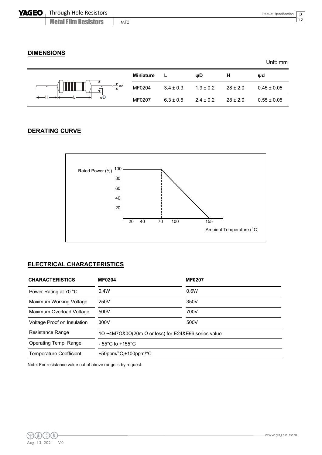3 12

#### **DIMENSIONS**

|       |           |               |               |              | Unit: mm        |
|-------|-----------|---------------|---------------|--------------|-----------------|
|       | Miniature |               | ψD            | н            | ψd              |
| — vad | MF0204    | $3.4 \pm 0.3$ | $1.9 \pm 0.2$ | $28 \pm 2.0$ | $0.45 \pm 0.05$ |
| øD    | MF0207    | $6.3 \pm 0.5$ | $2.4 \pm 0.2$ | $28 \pm 2.0$ | $0.55 \pm 0.05$ |

#### **DERATING CURVE**



#### **ELECTRICAL CHARACTERISTICS**

| <b>CHARACTERISTICS</b>         | <b>MF0204</b>                       | <b>MF0207</b>                                       |  |
|--------------------------------|-------------------------------------|-----------------------------------------------------|--|
| Power Rating at 70 °C          | 0.4W                                | 0.6W                                                |  |
| Maximum Working Voltage        | 250V                                | 350V                                                |  |
| Maximum Overload Voltage       | 500V                                | 700V                                                |  |
| Voltage Proof on Insulation    | 300V                                | 500V                                                |  |
| Resistance Range               |                                     | 1Ω ~4M7Ω&0Ω(20m Ω or less) for E24&E96 series value |  |
| Operating Temp. Range          | $-55^{\circ}$ C to $+155^{\circ}$ C |                                                     |  |
| <b>Temperature Coefficient</b> | $±50$ ppm/ $°C,±100$ ppm/ $°C$      |                                                     |  |

Note: For resistance value out of above range is by request.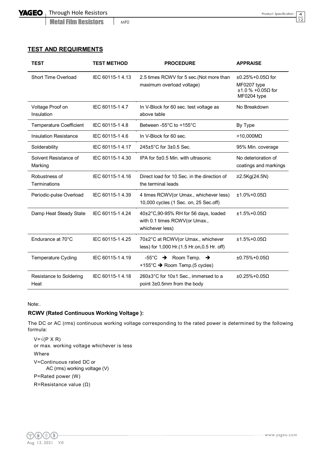MF0

4  $\overline{12}$ 

| <b>TEST</b>                      | <b>TEST METHOD</b> | <b>PROCEDURE</b>                                                                         | <b>APPRAISE</b>                                                                  |
|----------------------------------|--------------------|------------------------------------------------------------------------------------------|----------------------------------------------------------------------------------|
| Short Time Overload              | IEC 60115-1 4.13   | 2.5 times RCWV for 5 sec.(Not more than<br>maximum overload voltage)                     | $\pm 0.25\% + 0.05\Omega$ for<br>MF0207 type<br>±1.0 % +0.05Ω for<br>MF0204 type |
| Voltage Proof on<br>Insulation   | IEC 60115-1 4.7    | In V-Block for 60 sec. test voltage as<br>above table                                    | No Breakdown                                                                     |
| <b>Temperature Coefficient</b>   | IEC 60115-1 4.8    | Between -55°C to +155°C                                                                  | By Type                                                                          |
| <b>Insulation Resistance</b>     | IEC 60115-1 4.6    | In V-Block for 60 sec.                                                                   | $>10,000M\Omega$                                                                 |
| Solderability                    | IEC 60115-1 4.17   | 245±5°C for 3±0.5 Sec.                                                                   | 95% Min. coverage                                                                |
| Solvent Resistance of<br>Marking | IEC 60115-1 4.30   | IPA for 5±0.5 Min. with ultrasonic                                                       | No deterioration of<br>coatings and markings                                     |
| Robustness of<br>Terminations    | IEC 60115-14.16    | Direct load for 10 Sec. in the direction of<br>the terminal leads                        | ≥2.5Kg(24.5N)                                                                    |
| Periodic-pulse Overload          | IEC 60115-1 4.39   | 4 times RCWV(or Umax., whichever less)<br>10,000 cycles (1 Sec. on, 25 Sec.off)          | $±1.0\%+0.05\Omega$                                                              |
| Damp Heat Steady State           | IEC 60115-1 4.24   | 40±2°C,90-95% RH for 56 days, loaded<br>with 0.1 times RCWV(or Umax.,<br>whichever less) | $±1.5\%+0.05\Omega$                                                              |
| Endurance at 70°C                | IEC 60115-1 4.25   | 70±2°C at RCWV(or Umax., whichever<br>less) for 1,000 Hr.(1.5 Hr.on, 0.5 Hr. off)        | $±1.5\%+0.05\Omega$                                                              |
| <b>Temperature Cycling</b>       | IEC 60115-1 4.19   | $-55^{\circ}$ C $\rightarrow$ Room Temp. $\rightarrow$<br>+155°C → Room Temp.(5 cycles)  | $±0.75\%+0.05$                                                                   |
| Resistance to Soldering<br>Heat  | IEC 60115-1 4.18   | 260±3°C for 10±1 Sec., immersed to a<br>point 3±0.5mm from the body                      | $±0.25\%+0.05\Omega$                                                             |

#### Note:.

#### **RCWV (Rated Continuous Working Voltage ):**

The DC or AC (rms) continuous working voltage corresponding to the rated power is determined by the following formula:

 $V = \sqrt{(P \times R)}$ or max. working voltage whichever is less Where V=Continuous rated DC or AC (rms) working voltage (V) P=Rated power (W) R=Resistance value (Ω)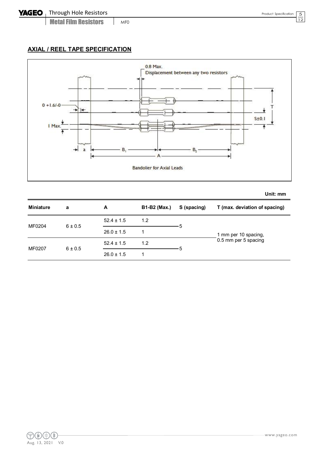5 12

#### **AXIAL / REEL TAPE SPECIFICATION**



**Unit: mm**

| <b>Miniature</b> | a           | A              | <b>B1-B2 (Max.)</b> | S (spacing) | T (max. deviation of spacing) |
|------------------|-------------|----------------|---------------------|-------------|-------------------------------|
| MF0204           |             | $52.4 \pm 1.5$ | 1.2                 |             |                               |
|                  | $6 \pm 0.5$ | $26.0 \pm 1.5$ |                     |             | 1 mm per 10 spacing,          |
| MF0207           | $6 \pm 0.5$ | $52.4 \pm 1.5$ | 1.2                 |             | 0.5 mm per 5 spacing          |
|                  |             | $26.0 \pm 1.5$ |                     |             |                               |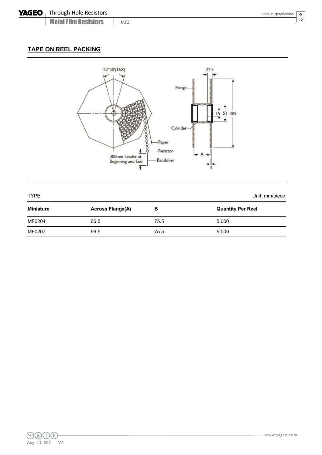6 12

### **TAPE ON REEL PACKING**



| <b>TYPE</b>      | Unit: mm/piece          |      |                          |
|------------------|-------------------------|------|--------------------------|
| <b>Miniature</b> | <b>Across Flange(A)</b> | в    | <b>Quantity Per Reel</b> |
| MF0204           | 66.5                    | 75.5 | 5,000                    |
| MF0207           | 66.5                    | 75.5 | 5,000                    |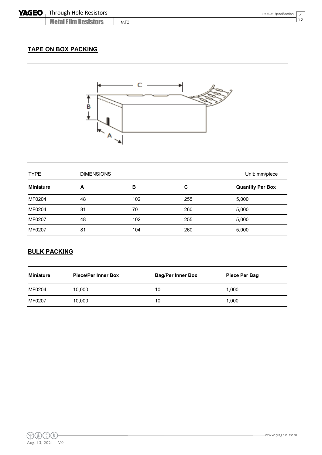Metal Film Resistors MF<sub>0</sub> 7

### **TAPE ON BOX PACKING**



| <b>TYPE</b><br><b>DIMENSIONS</b> |    |     |     | Unit: mm/piece          |
|----------------------------------|----|-----|-----|-------------------------|
| <b>Miniature</b>                 | A  | в   | C   | <b>Quantity Per Box</b> |
| MF0204                           | 48 | 102 | 255 | 5,000                   |
| MF0204                           | 81 | 70  | 260 | 5,000                   |
| MF0207                           | 48 | 102 | 255 | 5,000                   |
| MF0207                           | 81 | 104 | 260 | 5,000                   |

#### **BULK PACKING**

| Miniature | <b>Piece/Per Inner Box</b> | <b>Bag/Per Inner Box</b> | Piece Per Bag |
|-----------|----------------------------|--------------------------|---------------|
| MF0204    | 10,000                     | 10                       | 1,000         |
| MF0207    | 10,000                     | 10                       | 1,000         |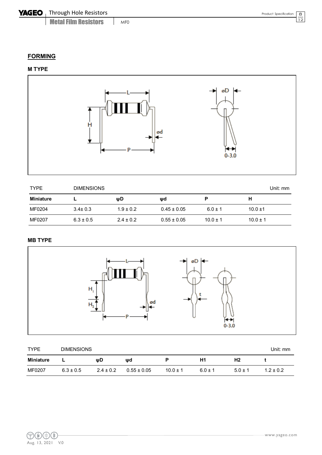Metal Film Resistors MF<sub>0</sub> 8

#### **FORMING**

#### **M TYPE**



| <b>TYPE</b>      | <b>DIMENSIONS</b> |               |                 |              |              |
|------------------|-------------------|---------------|-----------------|--------------|--------------|
| <b>Miniature</b> |                   | ψD            | ψd              | Р            |              |
| MF0204           | $3.4 \pm 0.3$     | $1.9 \pm 0.2$ | $0.45 \pm 0.05$ | $6.0 \pm 1$  | $10.0 \pm 1$ |
| MF0207           | $6.3 \pm 0.5$     | $2.4 \pm 0.2$ | $0.55 \pm 0.05$ | $10.0 \pm 1$ | $10.0 \pm 1$ |

#### **MB TYPE**



| <b>TYPE</b> | <b>DIMENSIONS</b> |               |                 |              |             |           | Unit: mm    |
|-------------|-------------------|---------------|-----------------|--------------|-------------|-----------|-------------|
| Miniature   | -                 | ωD            | wd              |              | H1          | Η2        |             |
| MF0207      | $6.3 \pm 0.5$     | $2.4 \pm 0.2$ | $0.55 \pm 0.05$ | $10.0 \pm 1$ | $6.0 \pm 1$ | $5.0 + 1$ | $1.2 + 0.2$ |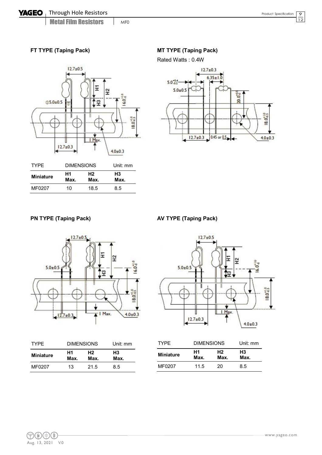MF0

#### **FT TYPE (Taping Pack) MT TYPE (Taping Pack)**



| IYPF.            | <b>DIMENSIONS</b> |                        | Unit: mm   |
|------------------|-------------------|------------------------|------------|
| <b>Miniature</b> | Η1<br>Max.        | H <sub>2</sub><br>Max. | H3<br>Max. |
| MF0207           | 10                | 18.5                   | 8.5        |



#### **PN TYPE (Taping Pack) AV TYPE (Taping Pack)**



|             | $12.7 \pm 0.5$ |             |                      |
|-------------|----------------|-------------|----------------------|
| $5.0 + 0.5$ |                | Ξ<br>운<br>穿 | 6.0%                 |
|             | II             | ij          | $18.0^{+1.0}_{-0.5}$ |
|             | $12.7 \pm 0.3$ | Max.<br>ı   | $4.0 \pm 0.3$        |

|            |                        | Unit: mm          |
|------------|------------------------|-------------------|
| Η1<br>Max. | H <sub>2</sub><br>Max. | Н3<br>Max.        |
| 13         | 21.5                   | 8.5               |
|            |                        | <b>DIMENSIONS</b> |

| <b>TYPF</b>      | <b>DIMENSIONS</b> | Unit: mm   |                        |
|------------------|-------------------|------------|------------------------|
| <b>Miniature</b> | Н1<br>Max.        | Н2<br>Max. | H <sub>3</sub><br>Max. |
| MF0207           | 11.5              | 20         | 8.5                    |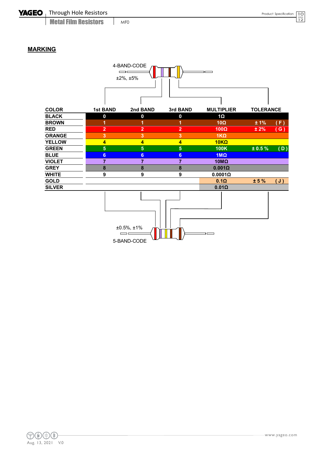MF0

#### **MARKING**

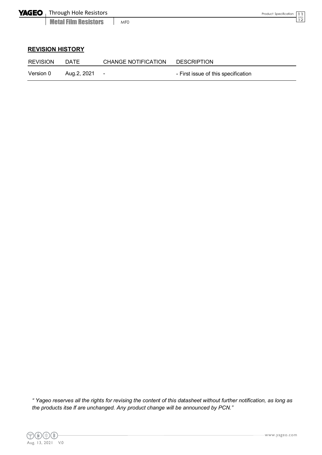11  $\overline{12}$ 

#### **REVISION HISTORY**

| <b>REVISION</b> | DATE        | CHANGE NOTIFICATION | <b>DESCRIPTION</b>                  |
|-----------------|-------------|---------------------|-------------------------------------|
| Version 0       | Aug.2, 2021 | $\sim$              | - First issue of this specification |

*" Yageo reserves all the rights for revising the content of this datasheet without further notification, as long as the products itse lf are unchanged. Any product change will be announced by PCN."*